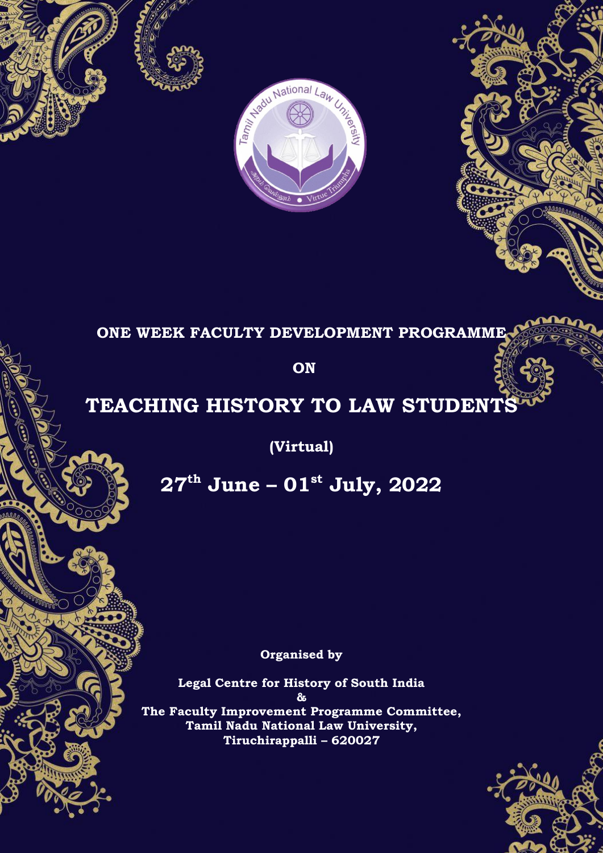





**ON** 

# **TEACHING HISTORY TO LAW STUDENT**

**(Virtual)**

**27th June – 01st July, 2022**

**Organised by**

**Legal Centre for History of South India & The Faculty Improvement Programme Committee, Tamil Nadu National Law University, Tiruchirappalli – 620027**

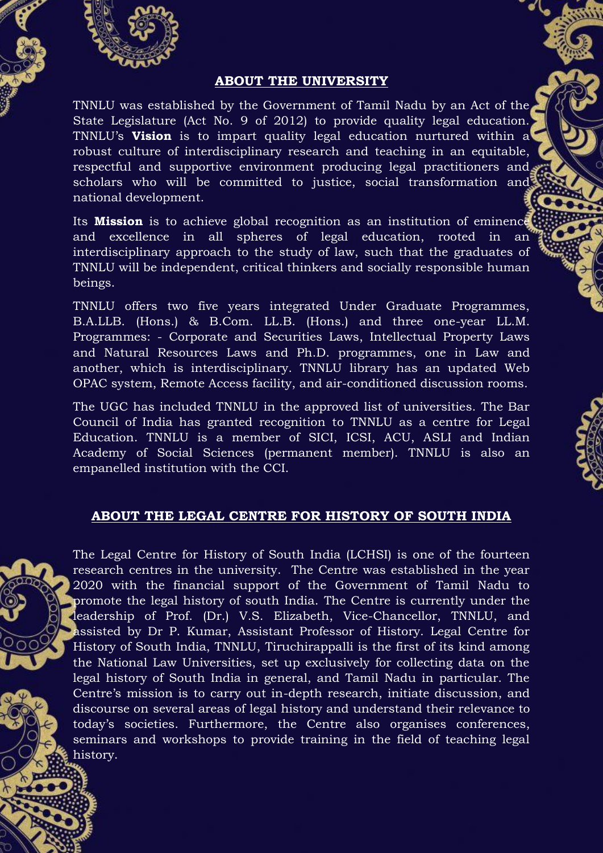

## **ABOUT THE UNIVERSITY**

TNNLU was established by the Government of Tamil Nadu by an Act of the State Legislature (Act No. 9 of 2012) to provide quality legal education. TNNLU's **Vision** is to impart quality legal education nurtured within a robust culture of interdisciplinary research and teaching in an equitable, respectful and supportive environment producing legal practitioners and scholars who will be committed to justice, social transformation and national development.

Its **Mission** is to achieve global recognition as an institution of eminence and excellence in all spheres of legal education, rooted in an interdisciplinary approach to the study of law, such that the graduates of TNNLU will be independent, critical thinkers and socially responsible human beings.

TNNLU offers two five years integrated Under Graduate Programmes, B.A.LLB. (Hons.) & B.Com. LL.B. (Hons.) and three one-year LL.M. Programmes: - Corporate and Securities Laws, Intellectual Property Laws and Natural Resources Laws and Ph.D. programmes, one in Law and another, which is interdisciplinary. TNNLU library has an updated Web OPAC system, Remote Access facility, and air-conditioned discussion rooms.

The UGC has included TNNLU in the approved list of universities. The Bar Council of India has granted recognition to TNNLU as a centre for Legal Education. TNNLU is a member of SICI, ICSI, ACU, ASLI and Indian Academy of Social Sciences (permanent member). TNNLU is also an empanelled institution with the CCI.

## **ABOUT THE LEGAL CENTRE FOR HISTORY OF SOUTH INDIA**

The Legal Centre for History of South India (LCHSI) is one of the fourteen research centres in the university. The Centre was established in the year 2020 with the financial support of the Government of Tamil Nadu to promote the legal history of south India. The Centre is currently under the leadership of Prof. (Dr.) V.S. Elizabeth, Vice-Chancellor, TNNLU, and assisted by Dr P. Kumar, Assistant Professor of History. Legal Centre for History of South India, TNNLU, Tiruchirappalli is the first of its kind among the National Law Universities, set up exclusively for collecting data on the legal history of South India in general, and Tamil Nadu in particular. The Centre's mission is to carry out in-depth research, initiate discussion, and discourse on several areas of legal history and understand their relevance to today's societies. Furthermore, the Centre also organises conferences, seminars and workshops to provide training in the field of teaching legal history.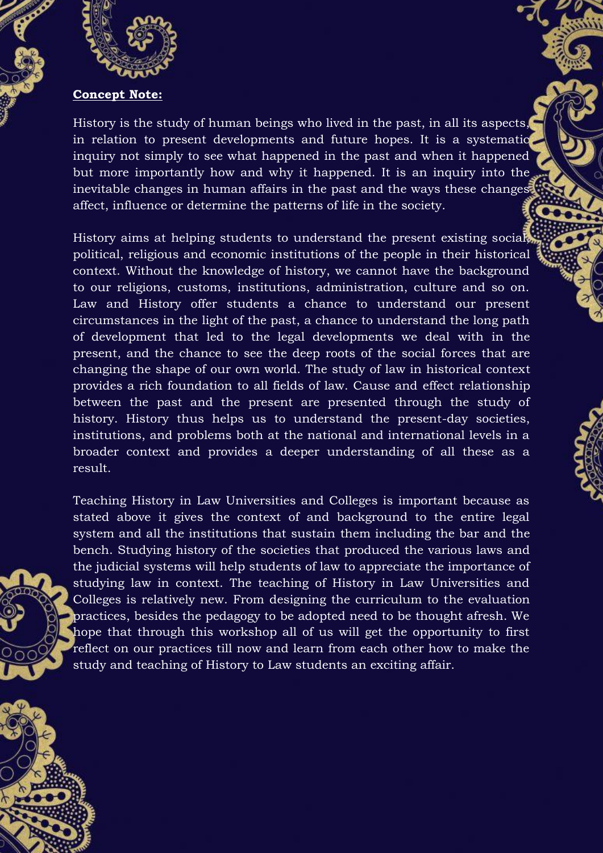

## **Concept Note:**

History is the study of human beings who lived in the past, in all its aspects, in relation to present developments and future hopes. It is a systematic inquiry not simply to see what happened in the past and when it happened but more importantly how and why it happened. It is an inquiry into the inevitable changes in human affairs in the past and the ways these changes affect, influence or determine the patterns of life in the society.

History aims at helping students to understand the present existing social, political, religious and economic institutions of the people in their historical context. Without the knowledge of history, we cannot have the background to our religions, customs, institutions, administration, culture and so on. Law and History offer students a chance to understand our present circumstances in the light of the past, a chance to understand the long path of development that led to the legal developments we deal with in the present, and the chance to see the deep roots of the social forces that are changing the shape of our own world. The study of law in historical context provides a rich foundation to all fields of law. Cause and effect relationship between the past and the present are presented through the study of history. History thus helps us to understand the present-day societies, institutions, and problems both at the national and international levels in a broader context and provides a deeper understanding of all these as a result.

Teaching History in Law Universities and Colleges is important because as stated above it gives the context of and background to the entire legal system and all the institutions that sustain them including the bar and the bench. Studying history of the societies that produced the various laws and the judicial systems will help students of law to appreciate the importance of studying law in context. The teaching of History in Law Universities and Colleges is relatively new. From designing the curriculum to the evaluation practices, besides the pedagogy to be adopted need to be thought afresh. We hope that through this workshop all of us will get the opportunity to first reflect on our practices till now and learn from each other how to make the study and teaching of History to Law students an exciting affair.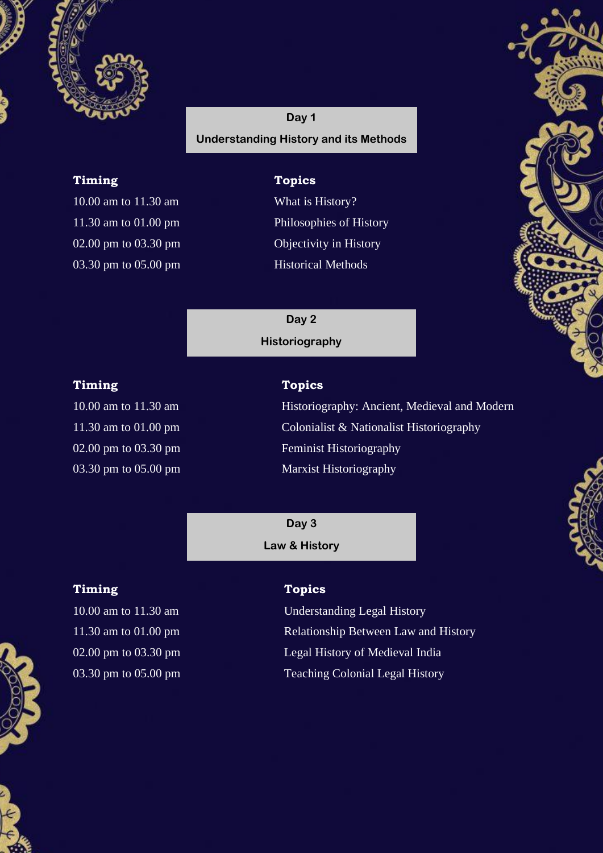

**Day 1 Understanding History and its Methods**

## **Timing Topics**

10.00 am to 11.30 am What is History? 02.00 pm to 03.30 pm Objectivity in History 03.30 pm to 05.00 pm Historical Methods

11.30 am to 01.00 pm Philosophies of History

**Day 2 Historiography**

## **Timing Topics**

03.30 pm to 05.00 pm

10.00 am to 11.30 am **Historiography:** Ancient, Medieval and Modern 11.30 am to 01.00 pm Colonialist & Nationalist Historiography 02.00 pm to 03.30 pm Feminist Historiography

> **Day 3 Law & History**

## **Timing Topics**



10.00 am to 11.30 am Understanding Legal History 11.30 am to 01.00 pm Relationship Between Law and History 02.00 pm to 03.30 pm compared by Legal History of Medieval India 03.30 pm to 05.00 pm Teaching Colonial Legal History



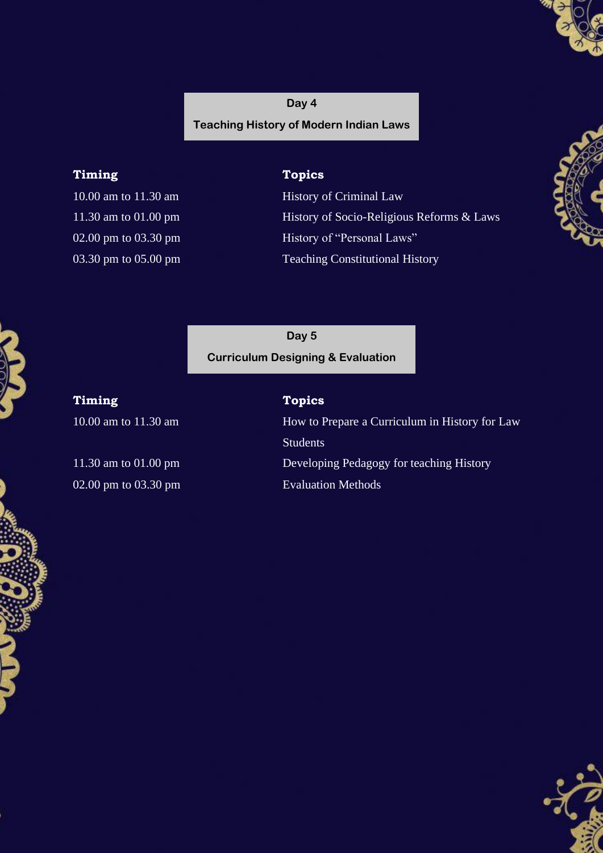## **Day 4 Teaching History of Modern Indian Laws**

## **Timing Topics**

10.00 am to 11.30 am History of Criminal Law 11.30 am to 01.00 pm History of Socio-Religious Reforms & Laws 02.00 pm to 03.30 pm History of "Personal Laws" 03.30 pm to 05.00 pm Teaching Constitutional History



**Day 5 Curriculum Designing & Evaluation**

**Timing Topics**

02.00 pm to 03.30 pm Evaluation Methods

10.00 am to 11.30 am **How to Prepare a Curriculum in History for Law** Students 11.30 am to 01.00 pm Developing Pedagogy for teaching History

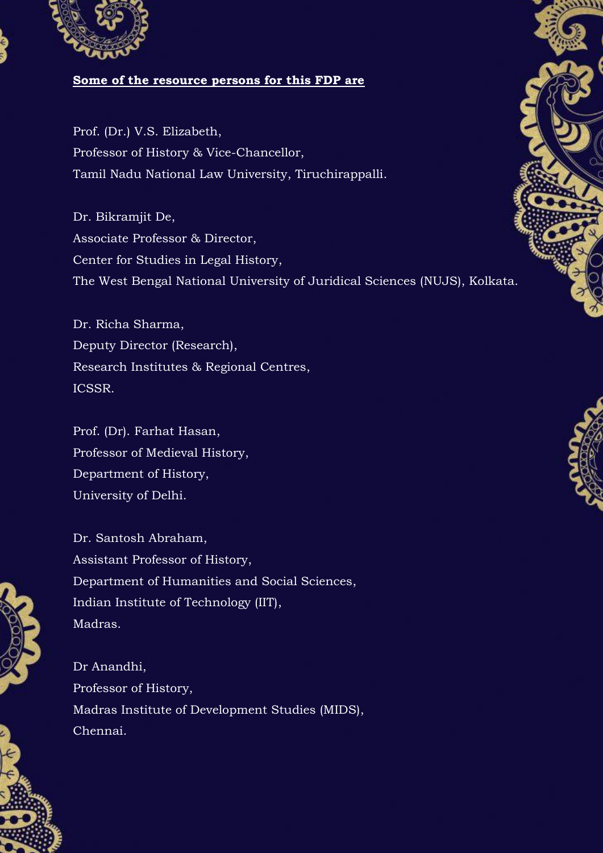

## **Some of the resource persons for this FDP are**

Prof. (Dr.) V.S. Elizabeth, Professor of History & Vice-Chancellor, Tamil Nadu National Law University, Tiruchirappalli.

Dr. Bikramjit De, Associate Professor & Director, Center for Studies in Legal History, The West Bengal National University of Juridical Sciences (NUJS), Kolkata.

Dr. Richa Sharma, Deputy Director (Research), Research Institutes & Regional Centres, ICSSR.

Prof. (Dr). Farhat Hasan, Professor of Medieval History, Department of History, University of Delhi.



Dr. Santosh Abraham, Assistant Professor of History, Department of Humanities and Social Sciences, Indian Institute of Technology (IIT), Madras.

Dr Anandhi, Professor of History, Madras Institute of Development Studies (MIDS), Chennai.





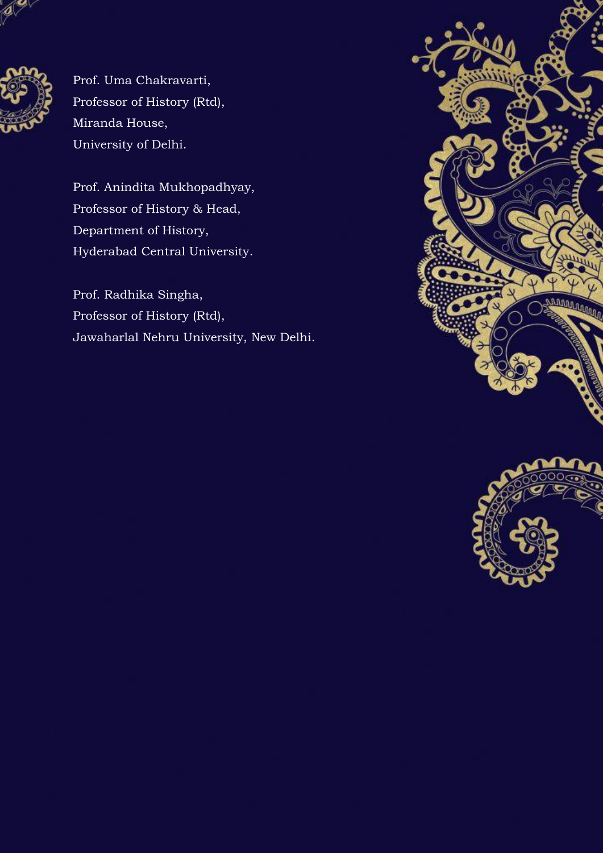

Prof. Uma Chakravarti, Professor of History (Rtd), Miranda House, University of Delhi.

Prof. Anindita Mukhopadhyay, Professor of History & Head, Department of History, Hyderabad Central University.

Prof. Radhika Singha, Professor of History (Rtd), Jawaharlal Nehru University, New Delhi.